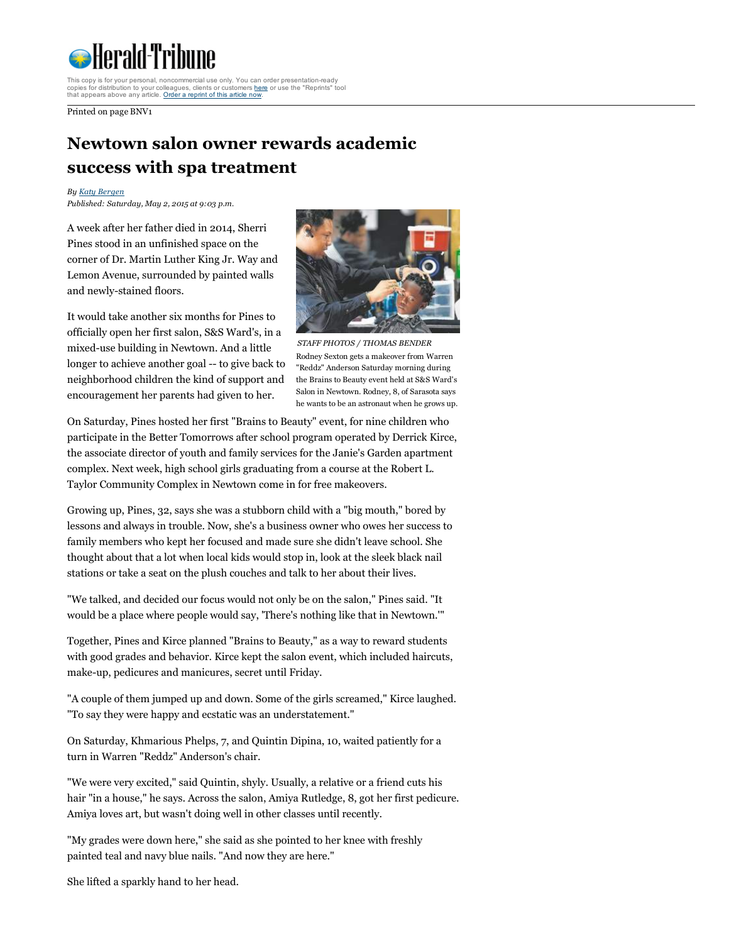

This copy is for your personal, noncommercial use only. You can order presentation-ready<br>copies for distribution to your colleagues, clients or customers <u>[here](http://www.magreprints.com/reprint-products-quote-request/?cf2_field_17=www.heraldtribune.com&cf2_field_18=&cf2_field_19=05%2F02%2F2015)</u> or use the "Reprints" tool<br>that appears above any article. Or

Printed on page BNV1

## Newtown salon owner rewards academic success with spa treatment

By Katy [Bergen](http://www.heraldtribune.com/personalia/katy.bergen) Published: Saturday, May 2, 2015 at 9:03 p.m.

A week after her father died in 2014, Sherri Pines stood in an unfinished space on the corner of Dr. Martin Luther King Jr. Way and Lemon Avenue, surrounded by painted walls and newly-stained floors.



It would take another six months for Pines to officially open her first salon, S&S Ward's, in a mixed-use building in Newtown. And a little longer to achieve another goal -- to give back to neighborhood children the kind of support and encouragement her parents had given to her.

STAFF PHOTOS / THOMAS BENDER Rodney Sexton gets a makeover from Warren "Reddz" Anderson Saturday morning during the Brains to Beauty event held at S&S Ward's Salon in Newtown. Rodney, 8, of Sarasota says he wants to be an astronaut when he grows up.

On Saturday, Pines hosted her first "Brains to Beauty" event, for nine children who participate in the Better Tomorrows after school program operated by Derrick Kirce, the associate director of youth and family services for the Janie's Garden apartment complex. Next week, high school girls graduating from a course at the Robert L. Taylor Community Complex in Newtown come in for free makeovers.

Growing up, Pines, 32, says she was a stubborn child with a "big mouth," bored by lessons and always in trouble. Now, she's a business owner who owes her success to family members who kept her focused and made sure she didn't leave school. She thought about that a lot when local kids would stop in, look at the sleek black nail stations or take a seat on the plush couches and talk to her about their lives.

"We talked, and decided our focus would not only be on the salon," Pines said. "It would be a place where people would say, 'There's nothing like that in Newtown.'"

Together, Pines and Kirce planned "Brains to Beauty," as a way to reward students with good grades and behavior. Kirce kept the salon event, which included haircuts, make-up, pedicures and manicures, secret until Friday.

"A couple of them jumped up and down. Some of the girls screamed," Kirce laughed. "To say they were happy and ecstatic was an understatement."

On Saturday, Khmarious Phelps, 7, and Quintin Dipina, 10, waited patiently for a turn in Warren "Reddz" Anderson's chair.

"We were very excited," said Quintin, shyly. Usually, a relative or a friend cuts his hair "in a house," he says. Across the salon, Amiya Rutledge, 8, got her first pedicure. Amiya loves art, but wasn't doing well in other classes until recently.

"My grades were down here," she said as she pointed to her knee with freshly painted teal and navy blue nails. "And now they are here."

She lifted a sparkly hand to her head.